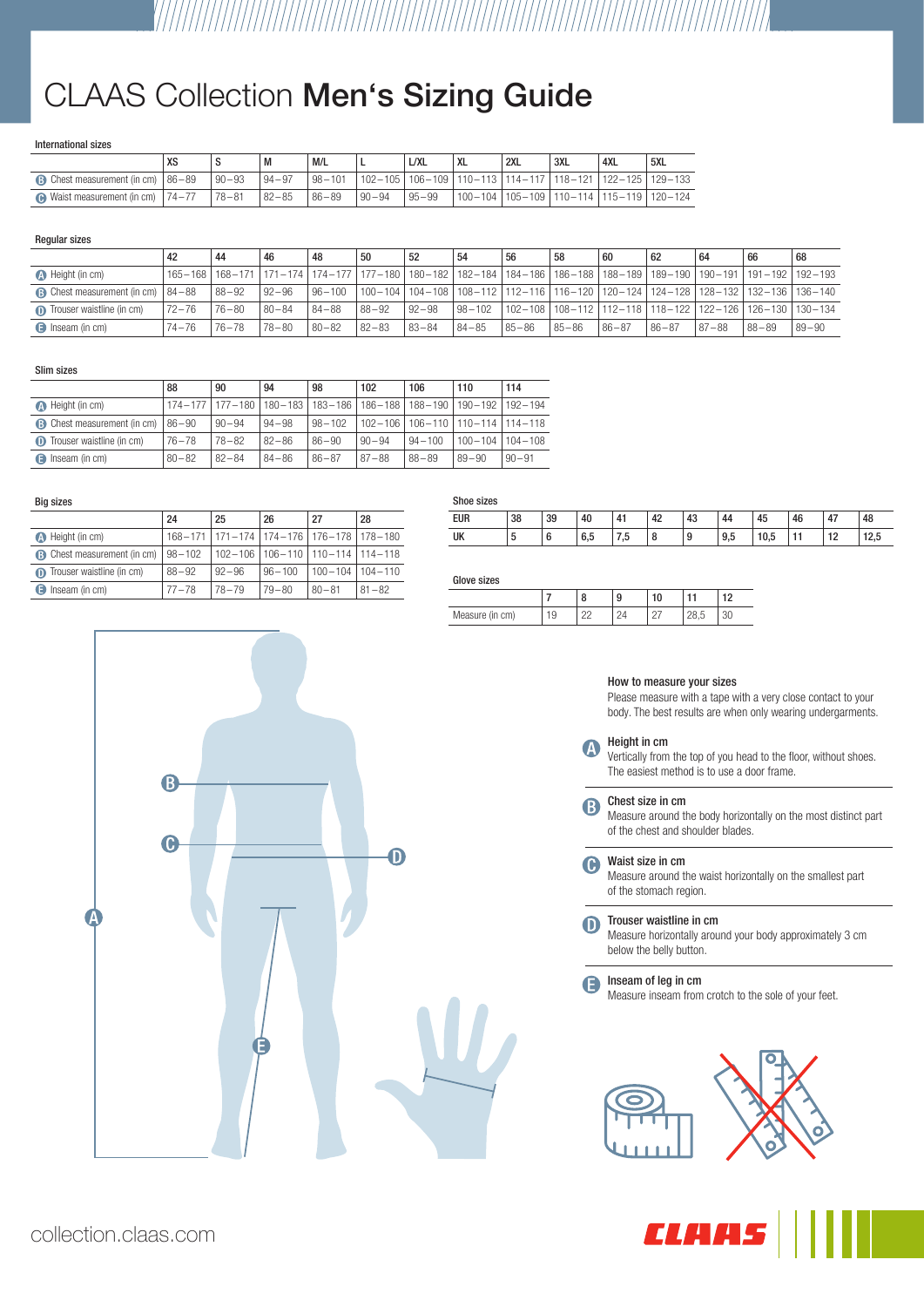# CLAAS Collection Men's Sizing Guide

# International sizes

|                                                |            | M           | M/L                                                                            |           | L/XL  | <b>XL</b> | 2XL | ' 3XL | 4XL | ' 5XL                                      |
|------------------------------------------------|------------|-------------|--------------------------------------------------------------------------------|-----------|-------|-----------|-----|-------|-----|--------------------------------------------|
| $\bigcirc$ Chest measurement (in cm)   86 - 89 | $190 - 93$ | $ 94 - 97 $ | l 98-101   102-105   106-109   110-113   114-117   118-121   122-125   129-133 |           |       |           |     |       |     |                                            |
| $\bullet$ Waist measurement (in cm)   74-77    | $ 78 - 81$ | $182 - 85$  | $86 - 89$                                                                      | $90 - 94$ | 95-99 |           |     |       |     | $ 100-104 105-109 110-114 115-119 120-124$ |

# Regular sizes

|                                            |           | 44                | 46        | 48        | 50                                                                                                                    | 52        | 54     | 56        | -58       | 60        | 62        | 64                                                                    | 66         | 68        |
|--------------------------------------------|-----------|-------------------|-----------|-----------|-----------------------------------------------------------------------------------------------------------------------|-----------|--------|-----------|-----------|-----------|-----------|-----------------------------------------------------------------------|------------|-----------|
| <b>A</b> Height (in cm)                    |           | 165-168   168-171 |           |           | 171–174   174–177   177–180   180–182   182–184   184–186   186–188   188–189   189–190   190–191   191–192   192–193 |           |        |           |           |           |           |                                                                       |            |           |
| <b>B</b> Chest measurement (in cm)   84-88 |           | 88-92             | $92 - 96$ |           | l 96-100   100-104   104-108   108-112   112-116   116-120   120-124   124-128   128-132   132-136   136-140          |           |        |           |           |           |           |                                                                       |            |           |
| <b>n</b> Trouser waistline (in cm)         | $72 - 76$ | $76 - 80$         | $80 - 84$ | $84 - 88$ | $88 - 92$                                                                                                             | $92 - 98$ | 98-102 |           |           |           |           | l 102-108   108-112   112-118   118-122   122-126   126-130   130-134 |            |           |
| <b>B</b> Inseam (in cm)                    | $74 - 76$ | $76 - 78$         | $78 - 80$ | $80 - 82$ | $82 - 83$                                                                                                             | 83-84     | 84-85  | $85 - 86$ | $85 - 86$ | $86 - 87$ | $86 - 87$ | $87 - 88$                                                             | $ 88 - 89$ | $89 - 90$ |

# Slim sizes

|                                     | 88        | 90                          | 94        | 98              | 102         | 106         | 110                                     | 114       |
|-------------------------------------|-----------|-----------------------------|-----------|-----------------|-------------|-------------|-----------------------------------------|-----------|
| <b>A</b> Height (in cm)             |           | 174-177   177-180   180-183 |           | 183-186 186-188 |             | $188 - 190$ | 190-192   192-194                       |           |
| <b>B</b> Chest measurement (in cm)  | $86 - 90$ | $90 - 94$                   | $94 - 98$ | $98 - 102$      | $102 - 106$ |             | $106 - 110$   $110 - 114$   $114 - 118$ |           |
| <b>ID</b> Trouser waistline (in cm) | $76 - 78$ | $78 - 82$                   | $82 - 86$ | $86 - 90$       | $90 - 94$   | $94 - 100$  | $100 - 104$   $104 - 108$               |           |
| Inseam (in cm)<br>A                 | $80 - 82$ | $82 - 84$                   | $84 - 86$ | $86 - 87$       | $87 - 88$   | $88 - 89$   | $89 - 90$                               | $90 - 91$ |

# Big sizes

|                                    | 24         | 25                                              | 26                                    | 27        | 28                        |
|------------------------------------|------------|-------------------------------------------------|---------------------------------------|-----------|---------------------------|
| <b>A</b> Height (in cm)            |            | 168-171   171-174   174-176   176-178   178-180 |                                       |           |                           |
| <b>B</b> Chest measurement (in cm) | $98 - 102$ |                                                 | 102-106   106-110   110-114   114-118 |           |                           |
| Trouser waistline (in cm)          | $88 - 92$  | $92 - 96$                                       | $96 - 100$                            |           | $100 - 104$   $104 - 110$ |
| <b>B</b> Inseam (in cm)            | $77 - 78$  | $78 - 79$                                       | $79 - 80$                             | $80 - 81$ | $81 - 82$                 |

| Shoe sizes |        |    |     |                   |    |    |     |      |             |    |      |
|------------|--------|----|-----|-------------------|----|----|-----|------|-------------|----|------|
| <b>EUR</b> | 38     | 39 | 40  | 41                | 42 | 43 | 44  | 45   | 46          | 47 | 48   |
| UK         | ∽<br>J | u  | 6.5 | ∽<br>$\mathbf{u}$ | 8  | 9  | 9,5 | 10.5 | $-1$<br>. . | 12 | 12,5 |

# Glove sizes

|                    |   | ι. | a<br>J        |                | . – |
|--------------------|---|----|---------------|----------------|-----|
| Measure (in<br>cm) | ັ |    | o<br><u>_</u> | $\overline{c}$ |     |



# How to measure your sizes

Please measure with a tape with a very close contact to your body. The best results are when only wearing undergarments.

### Height in cm A

Vertically from the top of you head to the floor, without shoes. The easiest method is to use a door frame.

Chest size in cm 6

Measure around the body horizontally on the most distinct part of the chest and shoulder blades.

Waist size in cm  $\bigodot$ 

Measure around the waist horizontally on the smallest part of the stomach region.

#### Trouser waistline in cm  $\mathbf 0$

Measure horizontally around your body approximately 3 cm below the belly button.

Inseam of leg in cm A

Measure inseam from crotch to the sole of your feet.